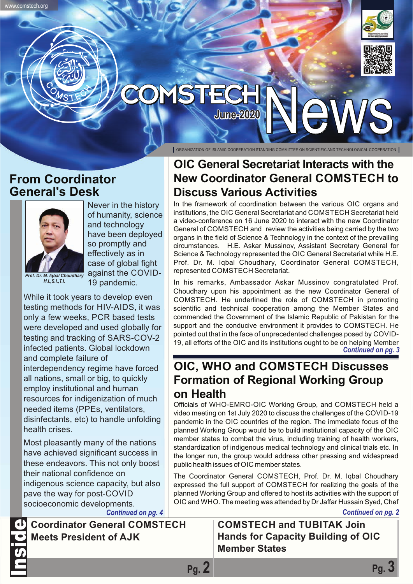



## **YSTECI June-2020**

ORGANIZATION OF ISLAMIC COOPERATION STANDING COMMITTEE ON SCIENTIFIC AND TECHNOLOGICAL COOPERATION

## **From Coordinator General's Desk**

www.comstech.org



*H.I.,S.I.,T.I.*

Never in the history of humanity, science and technology have been deployed so promptly and effectively as in case of global fight against the COVID-19 pandemic.

While it took years to develop even testing methods for HIV-AIDS, it was only a few weeks, PCR based tests were developed and used globally for testing and tracking of SARS-COV-2 infected patients. Global lockdown and complete failure of interdependency regime have forced all nations, small or big, to quickly employ institutional and human resources for indigenization of much needed items (PPEs, ventilators, disinfectants, etc) to handle unfolding health crises.

Most pleasantly many of the nations have achieved significant success in these endeavors. This not only boost their national confidence on indigenous science capacity, but also pave the way for post-COVID socioeconomic developments.

**Coordinator General COMSTECH Meets President of AJK** Inside

## **OIC General Secretariat Interacts with the New Coordinator General COMSTECH to Discuss Various Activities**

In the framework of coordination between the various OIC organs and institutions, the OIC General Secretariat and COMSTECH Secretariat held a video-conference on 16 June 2020 to interact with the new Coordinator General of COMSTECH and review the activities being carried by the two organs in the field of Science & Technology in the context of the prevailing circumstances. H.E. Askar Mussinov, Assistant Secretary General for Science & Technology represented the OIC General Secretariat while H.E. Prof. Dr. M. Iqbal Choudhary, Coordinator General COMSTECH, represented COMSTECH Secretariat.

In his remarks, Ambassador Askar Mussinov congratulated Prof. Choudhary upon his appointment as the new Coordinator General of COMSTECH. He underlined the role of COMSTECH in promoting scientific and technical cooperation among the Member States and commended the Government of the Islamic Republic of Pakistan for the support and the conducive environment it provides to COMSTECH. He pointed out that in the face of unprecedented challenges posed by COVID-19, all efforts of the OIC and its institutions ought to be on helping Member *Continued on pg. 3*

## **OIC, WHO and COMSTECH Discusses Formation of Regional Working Group on Health**

Officials of WHO-EMRO-OIC Working Group, and COMSTECH held a video meeting on 1st July 2020 to discuss the challenges of the COVID-19 pandemic in the OIC countries of the region. The immediate focus of the planned Working Group would be to build institutional capacity of the OIC member states to combat the virus, including training of health workers, standardization of indigenous medical technology and clinical trials etc. In the longer run, the group would address other pressing and widespread public health issues of OIC member states.

The Coordinator General COMSTECH, Prof. Dr. M. Iqbal Choudhary expressed the full support of COMSTECH for realizing the goals of the planned Working Group and offered to host its activities with the support of OIC and WHO. The meeting was attended by Dr Jaffar Hussain Syed, Chef

*Continued on pg. 4 Continued on pg. 2*

## **COMSTECH and TUBITAK Join Hands for Capacity Building of OIC Member States**

**Pg. 2 Pg. 3**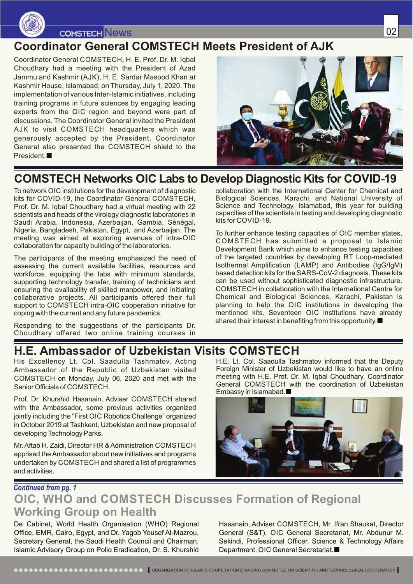

## **COMSTECH** News

## **Coordinator General COMSTECH Meets President of AJK**

Coordinator General COMSTECH, H. E. Prof. Dr. M. Iqbal Choudhary had a meeting with the President of Azad Jammu and Kashmir (AJK), H. E. Sardar Masood Khan at Kashmir House, Islamabad, on Thursday, July 1, 2020. The implementation of various Inter-Islamic initiatives, including training programs in future sciences by engaging leading experts from the OIC region and beyond were part of discussions. The Coordinator General invited the President AJK to visit COMSTECH headquarters which was generously accepted by the President. Coordinator General also presented the COMSTECH shield to the President.



## **COMSTECH Networks OIC Labs to Develop Diagnostic Kits for COVID-19**

To network OIC institutions for the development of diagnostic kits for COVID-19, the Coordinator General COMSTECH, Prof. Dr. M. Iqbal Choudhary had a virtual meeting with 22 scientists and heads of the virology diagnostic laboratories in Saudi Arabia, Indonesia, Azerbaijan, Gambia, Sénégal, Nigeria, Bangladesh, Pakistan, Egypt, and Azerbaijan. The meeting was aimed at exploring avenues of intra-OIC collaboration for capacity building of the laboratories.

The participants of the meeting emphasized the need of assessing the current available facilities, resources and workforce, equipping the labs with minimum standards, supporting technology transfer, training of technicians and ensuring the availability of skilled manpower, and initiating collaborative projects. All participants offered their full support to COMSTECH intra-OIC cooperation initiative for coping with the current and any future pandemics.

Responding to the suggestions of the participants Dr. Choudhary offered two online training courses in collaboration with the International Center for Chemical and Biological Sciences, Karachi, and National University of Science and Technology, Islamabad, this year for building capacities of the scientists in testing and developing diagnostic kits for COVID-19.

To further enhance testing capacities of OIC member states, COMSTECH has submitted a proposal to Islamic Development Bank which aims to enhance testing capacities of the targeted countries by developing RT Loop-mediated Isothermal Amplification (LAMP) and Antibodies (IgG/IgM) based detection kits for the SARS-CoV-2 diagnosis. These kits can be used without sophisticated diagnostic infrastructure. COMSTECH in collaboration with the International Centre for Chemical and Biological Sciences, Karachi, Pakistan is planning to help the OIC institutions in developing the mentioned kits. Seventeen OIC institutions have already shared their interest in benefiting from this opportunity.

## **H.E. Ambassador of Uzbekistan Visits COMSTECH**

His Excellency Lt. Col. Saadulla Tashmatov, Acting Ambassador of the Republic of Uzbekistan visited COMSTECH on Monday, July 06, 2020 and met with the Senior Officials of COMSTECH.

Prof. Dr. Khurshid Hasanain, Adviser COMSTECH shared with the Ambassador, some previous activities organized jointly including the "First OIC Robotics Challenge" organized in October 2019 at Tashkent, Uzbekistan and new proposal of developing Technology Parks.

Mr. Aftab H. Zaidi, Director HR & Administration COMSTECH apprised the Ambassador about new initiatives and programs undertaken by COMSTECH and shared a list of programmes and activities.

H.E. Lt. Col. Saadulla Tashmatov informed that the Deputy Foreign Minister of Uzbekistan would like to have an online meeting with H.E. Prof. Dr. M. Iqbal Choudhary, Coordinator General COMSTECH with the coordination of Uzbekistan Embassy in Islamabad.



### *Continued from pg. 1* **OIC, WHO and COMSTECH Discusses Formation of Regional Working Group on Health**

De Cabinet, World Health Organisation (WHO) Regional Office, EMR, Cairo, Egypt, and Dr. Yagob Yousef Al-Mazrou, Secretary General, the Saudi Health Council and Chairman, Islamic Advisory Group on Polio Eradication, Dr. S. Khurshid Hasanain, Adviser COMSTECH, Mr. Ifran Shaukat, Director General (S&T), OIC General Secretariat, Mr. Abdunur M. Sekindi, Professional Officer, Science & Technology Affairs Department, OIC General Secretariat.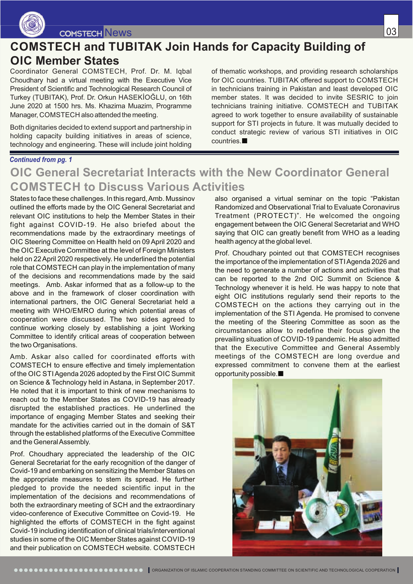

## **COMSTECH and TUBITAK Join Hands for Capacity Building of**

### **OIC Member States**

Coordinator General COMSTECH, Prof. Dr. M. Iqbal Choudhary had a virtual meeting with the Executive Vice President of Scientific and Technological Research Council of Turkey (TUBITAK), Prof. Dr. Orkun HASEKİOĞLU, on 16th June 2020 at 1500 hrs. Ms. Khazima Muazim, Programme Manager, COMSTECH also attended the meeting.

Both dignitaries decided to extend support and partnership in holding capacity building initiatives in areas of science, technology and engineering. These will include joint holding

of thematic workshops, and providing research scholarships for OIC countries. TUBITAK offered support to COMSTECH in technicians training in Pakistan and least developed OIC member states. It was decided to invite SESRIC to join technicians training initiative. COMSTECH and TUBITAK agreed to work together to ensure availability of sustainable support for STI projects in future. It was mutually decided to conduct strategic review of various STI initiatives in OIC countries.

#### *Continued from pg. 1*

## **OIC General Secretariat Interacts with the New Coordinator General COMSTECH to Discuss Various Activities**

States to face these challenges. In this regard, Amb. Mussinov outlined the efforts made by the OIC General Secretariat and relevant OIC institutions to help the Member States in their fight against COVID-19. He also briefed about the recommendations made by the extraordinary meetings of OIC Steering Committee on Health held on 09 April 2020 and the OIC Executive Committee at the level of Foreign Ministers held on 22 April 2020 respectively. He underlined the potential role that COMSTECH can play in the implementation of many of the decisions and recommendations made by the said meetings. Amb. Askar informed that as a follow-up to the above and in the framework of closer coordination with international partners, the OIC General Secretariat held a meeting with WHO/EMRO during which potential areas of cooperation were discussed. The two sides agreed to continue working closely by establishing a joint Working Committee to identify critical areas of cooperation between the two Organisations.

Amb. Askar also called for coordinated efforts with COMSTECH to ensure effective and timely implementation of the OIC STIAgenda 2026 adopted by the First OIC Summit on Science & Technology held in Astana, in September 2017. He noted that it is important to think of new mechanisms to reach out to the Member States as COVID-19 has already disrupted the established practices. He underlined the importance of engaging Member States and seeking their mandate for the activities carried out in the domain of S&T through the established platforms of the Executive Committee and the General Assembly.

Prof. Choudhary appreciated the leadership of the OIC General Secretariat for the early recognition of the danger of Covid-19 and embarking on sensitizing the Member States on the appropriate measures to stem its spread. He further pledged to provide the needed scientific input in the implementation of the decisions and recommendations of both the extraordinary meeting of SCH and the extraordinary video-conference of Executive Committee on Covid-19. He highlighted the efforts of COMSTECH in the fight against Covid-19 including identification of clinical trials/interventional studies in some of the OIC Member States against COVID-19 and their publication on COMSTECH website. COMSTECH

also organised a virtual seminar on the topic "Pakistan Randomized and Observational Trial to Evaluate Coronavirus Treatment (PROTECT)". He welcomed the ongoing engagement between the OIC General Secretariat and WHO saying that OIC can greatly benefit from WHO as a leading health agency at the global level.

Prof. Choudhary pointed out that COMSTECH recognises the importance of the implementation of STIAgenda 2026 and the need to generate a number of actions and activities that can be reported to the 2nd OIC Summit on Science & Technology whenever it is held. He was happy to note that eight OIC institutions regularly send their reports to the COMSTECH on the actions they carrying out in the implementation of the STI Agenda. He promised to convene the meeting of the Steering Committee as soon as the circumstances allow to redefine their focus given the prevailing situation of COVID-19 pandemic. He also admitted that the Executive Committee and General Assembly meetings of the COMSTECH are long overdue and expressed commitment to convene them at the earliest opportunity possible.

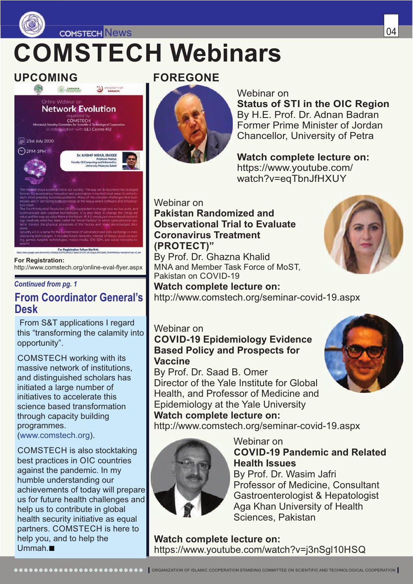

News 2004 and the contract of the contract of the contract of the contract of the contract of the contract of the contract of the contract of the contract of the contract of the contract of the contract of the contract of

## **COMSTECH Webinars**



For Registration follow the link **For Registration:** http://www.comstech.org/online-eval-flyer.aspx

#### *Continued from pg. 1*

## **From Coordinator General's Desk**

 From S&T applications I regard this "transforming the calamity into opportunity".

COMSTECH working with its massive network of institutions, and distinguished scholars has initiated a large number of initiatives to accelerate this science based transformation through capacity building programmes.

(www.comstech.org).

COMSTECH is also stocktaking best practices in OIC countries against the pandemic. In my humble understanding our achievements of today will prepare us for future health challenges and help us to contribute in global health security initiative as equal partners. COMSTECH is here to help you, and to help the Ummah.

## **UPCOMING FOREGONE**



#### Webinar on

**Status of STI in the OIC Region** By H.E. Prof. Dr. Adnan Badran Former Prime Minister of Jordan Chancellor, University of Petra

**Watch complete lecture on:** https://www.youtube.com/ watch?v=eqTbnJfHXUY

#### Webinar on **Pakistan Randomized and Observational Trial to Evaluate Coronavirus Treatment (PROTECT)"** By Prof. Dr. Ghazna Khalid

MNA and Member Task Force of MoST, Pakistan on COVID-19

**Watch complete lecture on:** http://www.comstech.org/seminar-covid-19.aspx

#### Webinar on **COVID-19 Epidemiology Evidence Based Policy and Prospects for Vaccine**

By Prof. Dr. Saad B. Omer Director of the Yale Institute for Global Health, and Professor of Medicine and Epidemiology at the Yale University **Watch complete lecture on:**

http://www.comstech.org/seminar-covid-19.aspx



Webinar on **COVID-19 Pandemic and Related Health Issues**

By Prof. Dr. Wasim Jafri Professor of Medicine, Consultant Gastroenterologist & Hepatologist Aga Khan University of Health Sciences, Pakistan

**Watch complete lecture on:** https://www.youtube.com/watch?v=j3nSgl10HSQ

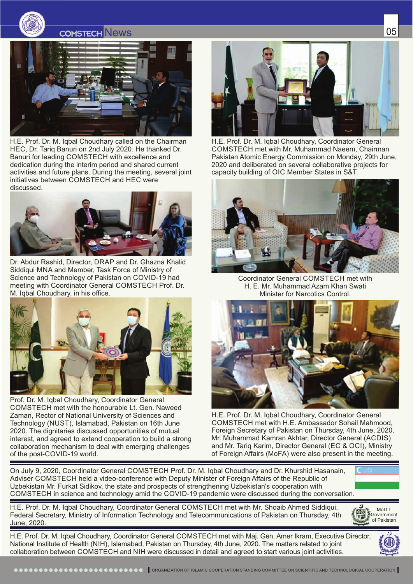



H.E. Prof. Dr. M. Iqbal Choudhary called on the Chairman HEC, Dr. Tariq Banuri on 2nd July 2020. He thanked Dr. Banuri for leading COMSTECH with excellence and dedication during the interim period and shared current activities and future plans. During the meeting, several joint initiatives between COMSTECH and HEC were discussed.



Dr. Abdur Rashid, Director, DRAP and Dr. Ghazna Khalid Siddiqui MNA and Member, Task Force of Ministry of Science and Technology of Pakistan on COVID-19 had meeting with Coordinator General COMSTECH Prof. Dr. M. Iqbal Choudhary, in his office.



Prof. Dr. M. Iqbal Choudhary, Coordinator General COMSTECH met with the honourable Lt. Gen. Naweed Zaman, Rector of National University of Sciences and Technology (NUST), Islamabad, Pakistan on 16th June 2020. The dignitaries discussed opportunities of mutual interest, and agreed to extend cooperation to build a strong collaboration mechanism to deal with emerging challenges of the post-COVID-19 world.



H.E. Prof. Dr. M. Iqbal Choudhary, Coordinator General COMSTECH met with Mr. Muhammad Naeem, Chairman Pakistan Atomic Energy Commission on Monday, 29th June, 2020 and deliberated on several collaborative projects for capacity building of OIC Member States in S&T.



Coordinator General COMSTECH met with H. E. Mr. Muhammad Azam Khan Swati Minister for Narcotics Control.



H.E. Prof. Dr. M. Iqbal Choudhary, Coordinator General COMSTECH met with H.E. Ambassador Sohail Mahmood, Foreign Secretary of Pakistan on Thursday, 4th June, 2020. Mr. Muhammad Kamran Akhtar, Director General (ACDIS) and Mr. Tarig Karim, Director General (EC & OCI), Ministry of Foreign Affairs (MoFA) were also present in the meeting.

On July 9, 2020, Coordinator General COMSTECH Prof. Dr. M. Iqbal Choudhary and Dr. Khurshid Hasanain, Adviser COMSTECH held a video-conference with Deputy Minister of Foreign Affairs of the Republic of Uzbekistan Mr. Furkat Sidikov, the state and prospects of strengthening Uzbekistan's cooperation with COMSTECH in science and technology amid the COVID-19 pandemic were discussed during the conversation.

H.E. Prof. Dr. M. Iqbal Choudhary, Coordinator General COMSTECH met with Mr. Shoaib Ahmed Siddiqui, Federal Secretary, Ministry of Information Technology and Telecommunications of Pakistan on Thursday, 4th June, 2020.



H.E. Prof. Dr. M. Iqbal Choudhary, Coordinator General COMSTECH met with Maj. Gen. Amer Ikram, Executive Director, National Institute of Health (NIH), Islamabad, Pakistan on Thursday, 4th June, 2020. The matters related to joint collaboration between COMSTECH and NIH were discussed in detail and agreed to start various joint activities.